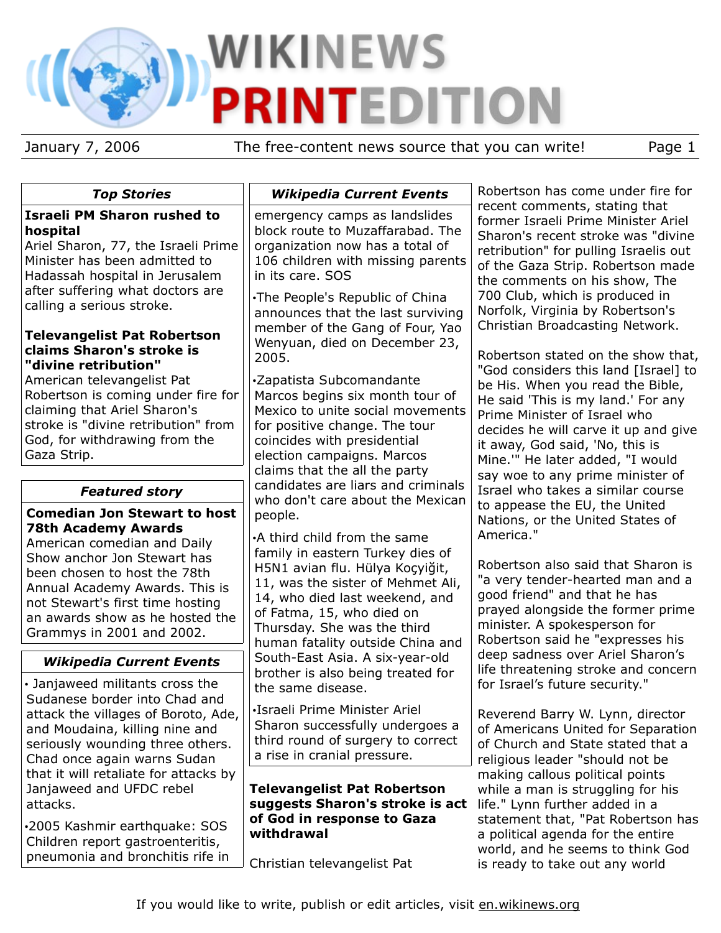# **WIKINEWS ITEDITION** PI

pneumonia and bronchitis rife in

January 7, 2006 The free-content news source that you can write! Page 1

| <b>Top Stories</b>                                                                                                                                                                                           | <b>Wikipedia Current Events</b>                                                                                                                                                                                                            | Robertson has come under fire for                                                                                                                                                                                         |
|--------------------------------------------------------------------------------------------------------------------------------------------------------------------------------------------------------------|--------------------------------------------------------------------------------------------------------------------------------------------------------------------------------------------------------------------------------------------|---------------------------------------------------------------------------------------------------------------------------------------------------------------------------------------------------------------------------|
| <b>Israeli PM Sharon rushed to</b><br>hospital<br>Ariel Sharon, 77, the Israeli Prime<br>Minister has been admitted to<br>Hadassah hospital in Jerusalem                                                     | emergency camps as landslides<br>block route to Muzaffarabad. The<br>organization now has a total of<br>106 children with missing parents<br>in its care. SOS                                                                              | recent comments, stating that<br>former Israeli Prime Minister Ariel<br>Sharon's recent stroke was "divine<br>retribution" for pulling Israelis out<br>of the Gaza Strip. Robertson made<br>the comments on his show, The |
| after suffering what doctors are<br>calling a serious stroke.<br><b>Televangelist Pat Robertson</b>                                                                                                          | .The People's Republic of China<br>announces that the last surviving<br>member of the Gang of Four, Yao                                                                                                                                    | 700 Club, which is produced in<br>Norfolk, Virginia by Robertson's<br>Christian Broadcasting Network.                                                                                                                     |
| claims Sharon's stroke is<br>"divine retribution"<br>American televangelist Pat                                                                                                                              | Wenyuan, died on December 23,<br>2005.<br>·Zapatista Subcomandante                                                                                                                                                                         | Robertson stated on the show that,<br>"God considers this land [Israel] to<br>be His. When you read the Bible,                                                                                                            |
| Robertson is coming under fire for<br>claiming that Ariel Sharon's<br>stroke is "divine retribution" from<br>God, for withdrawing from the<br>Gaza Strip.                                                    | Marcos begins six month tour of<br>Mexico to unite social movements<br>for positive change. The tour<br>coincides with presidential<br>election campaigns. Marcos                                                                          | He said 'This is my land.' For any<br>Prime Minister of Israel who<br>decides he will carve it up and give<br>it away, God said, 'No, this is<br>Mine."" He later added, "I would                                         |
| <b>Featured story</b>                                                                                                                                                                                        | claims that the all the party<br>candidates are liars and criminals                                                                                                                                                                        | say woe to any prime minister of<br>Israel who takes a similar course                                                                                                                                                     |
| <b>Comedian Jon Stewart to host</b><br><b>78th Academy Awards</b><br>American comedian and Daily                                                                                                             | who don't care about the Mexican<br>people.<br>•A third child from the same                                                                                                                                                                | to appease the EU, the United<br>Nations, or the United States of<br>America."                                                                                                                                            |
| Show anchor Jon Stewart has<br>been chosen to host the 78th<br>Annual Academy Awards. This is<br>not Stewart's first time hosting<br>an awards show as he hosted the<br>Grammys in 2001 and 2002.            | family in eastern Turkey dies of<br>H5N1 avian flu. Hülya Koçyiğit,<br>11, was the sister of Mehmet Ali,<br>14, who died last weekend, and<br>of Fatma, 15, who died on<br>Thursday. She was the third<br>human fatality outside China and | Robertson also said that Sharon is<br>"a very tender-hearted man and a<br>good friend" and that he has<br>prayed alongside the former prime<br>minister. A spokesperson for<br>Robertson said he "expresses his           |
| <b>Wikipedia Current Events</b>                                                                                                                                                                              | South-East Asia. A six-year-old<br>brother is also being treated for                                                                                                                                                                       | deep sadness over Ariel Sharon's<br>life threatening stroke and concern                                                                                                                                                   |
| • Janjaweed militants cross the<br>Sudanese border into Chad and<br>attack the villages of Boroto, Ade,<br>and Moudaina, killing nine and<br>seriously wounding three others.<br>Chad once again warns Sudan | the same disease.<br>·Israeli Prime Minister Ariel<br>Sharon successfully undergoes a<br>third round of surgery to correct<br>a rise in cranial pressure.                                                                                  | for Israel's future security."<br>Reverend Barry W. Lynn, director<br>of Americans United for Separation<br>of Church and State stated that a<br>religious leader "should not be                                          |
| that it will retaliate for attacks by<br>Janjaweed and UFDC rebel<br>attacks.                                                                                                                                | <b>Televangelist Pat Robertson</b><br>suggests Sharon's stroke is act                                                                                                                                                                      | making callous political points<br>while a man is struggling for his<br>life." Lynn further added in a                                                                                                                    |
| .2005 Kashmir earthquake: SOS<br>Children report gastroenteritis,<br>المرز المكاتب المشترك والمستمرط المسروب المشمرين                                                                                        | of God in response to Gaza<br>withdrawal                                                                                                                                                                                                   | statement that, "Pat Robertson has<br>a political agenda for the entire<br>world, and he seems to think God                                                                                                               |

Christian televangelist Pat

is ready to take out any world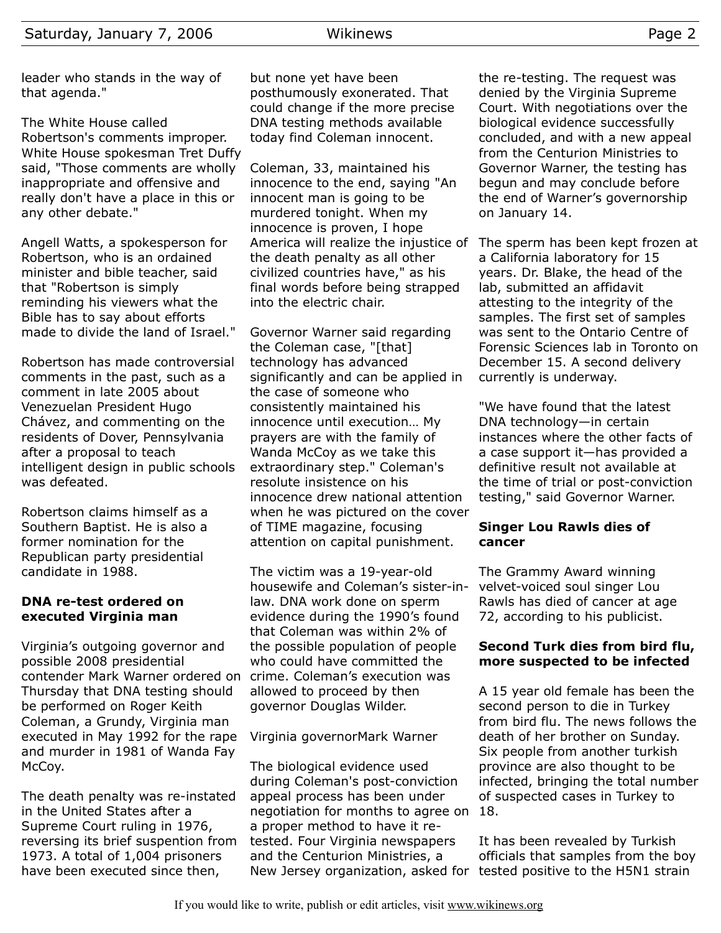The White House called Robertson's comments improper. White House spokesman Tret Duffy said, "Those comments are wholly inappropriate and offensive and really don't have a place in this or any other debate."

Angell Watts, a spokesperson for Robertson, who is an ordained minister and bible teacher, said that "Robertson is simply reminding his viewers what the Bible has to say about efforts made to divide the land of Israel."

Robertson has made controversial comments in the past, such as a comment in late 2005 about Venezuelan President Hugo Chávez, and commenting on the residents of Dover, Pennsylvania after a proposal to teach intelligent design in public schools was defeated.

Robertson claims himself as a Southern Baptist. He is also a former nomination for the Republican party presidential candidate in 1988.

## **DNA re-test ordered on executed Virginia man**

Virginia's outgoing governor and possible 2008 presidential contender Mark Warner ordered on crime. Coleman's execution was Thursday that DNA testing should be performed on Roger Keith Coleman, a Grundy, Virginia man executed in May 1992 for the rape and murder in 1981 of Wanda Fay McCoy.

The death penalty was re-instated in the United States after a Supreme Court ruling in 1976, reversing its brief suspention from 1973. A total of 1,004 prisoners have been executed since then,

but none yet have been posthumously exonerated. That could change if the more precise DNA testing methods available today find Coleman innocent.

Coleman, 33, maintained his innocence to the end, saying "An innocent man is going to be murdered tonight. When my innocence is proven, I hope the death penalty as all other civilized countries have," as his final words before being strapped into the electric chair.

Governor Warner said regarding the Coleman case, "[that] technology has advanced significantly and can be applied in the case of someone who consistently maintained his innocence until execution… My prayers are with the family of Wanda McCoy as we take this extraordinary step." Coleman's resolute insistence on his innocence drew national attention when he was pictured on the cover of TIME magazine, focusing attention on capital punishment.

The victim was a 19-year-old housewife and Coleman's sister-inlaw. DNA work done on sperm evidence during the 1990's found that Coleman was within 2% of the possible population of people who could have committed the allowed to proceed by then governor Douglas Wilder.

# Virginia governorMark Warner

The biological evidence used during Coleman's post-conviction appeal process has been under negotiation for months to agree on a proper method to have it retested. Four Virginia newspapers and the Centurion Ministries, a New Jersey organization, asked for tested positive to the H5N1 strain

the re-testing. The request was denied by the Virginia Supreme Court. With negotiations over the biological evidence successfully concluded, and with a new appeal from the Centurion Ministries to Governor Warner, the testing has begun and may conclude before the end of Warner's governorship on January 14.

America will realize the injustice of The sperm has been kept frozen at a California laboratory for 15 years. Dr. Blake, the head of the lab, submitted an affidavit attesting to the integrity of the samples. The first set of samples was sent to the Ontario Centre of Forensic Sciences lab in Toronto on December 15. A second delivery currently is underway.

> "We have found that the latest DNA technology—in certain instances where the other facts of a case support it—has provided a definitive result not available at the time of trial or post-conviction testing," said Governor Warner.

#### **Singer Lou Rawls dies of cancer**

The Grammy Award winning velvet-voiced soul singer Lou Rawls has died of cancer at age 72, according to his publicist.

## **Second Turk dies from bird flu, more suspected to be infected**

A 15 year old female has been the second person to die in Turkey from bird flu. The news follows the death of her brother on Sunday. Six people from another turkish province are also thought to be infected, bringing the total number of suspected cases in Turkey to 18.

It has been revealed by Turkish officials that samples from the boy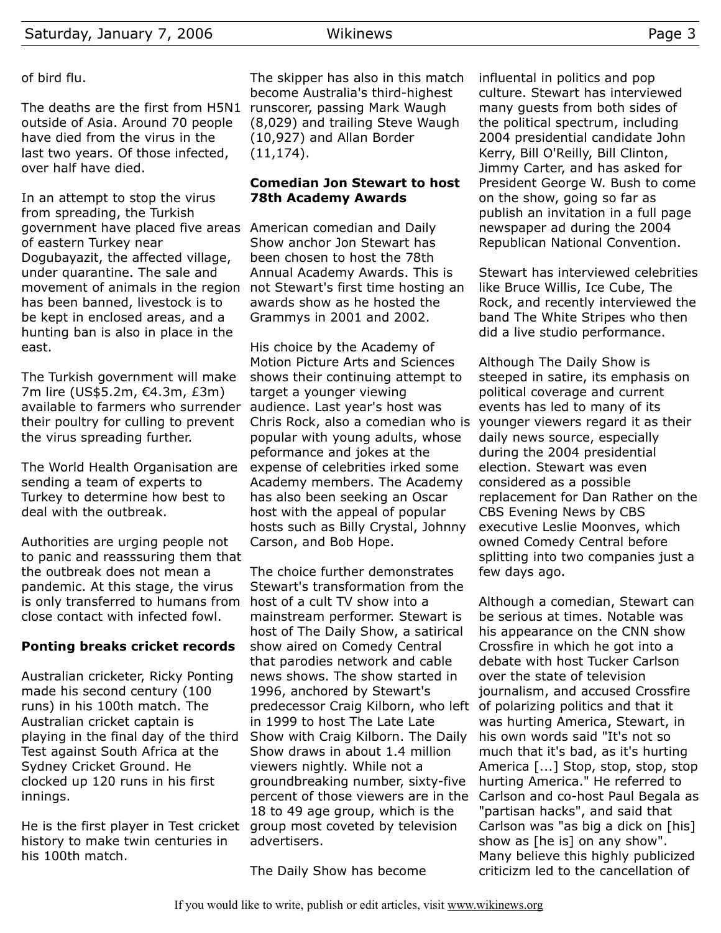## of bird flu.

The deaths are the first from H5N1 runscorer, passing Mark Waugh outside of Asia. Around 70 people have died from the virus in the last two years. Of those infected, over half have died.

In an attempt to stop the virus from spreading, the Turkish government have placed five areas American comedian and Daily of eastern Turkey near Dogubayazit, the affected village, under quarantine. The sale and movement of animals in the region not Stewart's first time hosting an has been banned, livestock is to be kept in enclosed areas, and a hunting ban is also in place in the east.

The Turkish government will make 7m lire (US\$5.2m, €4.3m, £3m) available to farmers who surrender their poultry for culling to prevent the virus spreading further.

The World Health Organisation are sending a team of experts to Turkey to determine how best to deal with the outbreak.

Authorities are urging people not to panic and reasssuring them that the outbreak does not mean a pandemic. At this stage, the virus is only transferred to humans from host of a cult TV show into a close contact with infected fowl.

## **Ponting breaks cricket records**

Australian cricketer, Ricky Ponting made his second century (100 runs) in his 100th match. The Australian cricket captain is playing in the final day of the third Test against South Africa at the Sydney Cricket Ground. He clocked up 120 runs in his first innings.

He is the first player in Test cricket group most coveted by television history to make twin centuries in his 100th match.

The skipper has also in this match become Australia's third-highest (8,029) and trailing Steve Waugh (10,927) and Allan Border (11,174).

#### **Comedian Jon Stewart to host 78th Academy Awards**

Show anchor Jon Stewart has been chosen to host the 78th Annual Academy Awards. This is awards show as he hosted the Grammys in 2001 and 2002.

His choice by the Academy of Motion Picture Arts and Sciences shows their continuing attempt to target a younger viewing audience. Last year's host was Chris Rock, also a comedian who is popular with young adults, whose peformance and jokes at the expense of celebrities irked some Academy members. The Academy has also been seeking an Oscar host with the appeal of popular hosts such as Billy Crystal, Johnny Carson, and Bob Hope.

The choice further demonstrates Stewart's transformation from the mainstream performer. Stewart is host of The Daily Show, a satirical show aired on Comedy Central that parodies network and cable news shows. The show started in 1996, anchored by Stewart's predecessor Craig Kilborn, who left of polarizing politics and that it in 1999 to host The Late Late Show with Craig Kilborn. The Daily Show draws in about 1.4 million viewers nightly. While not a groundbreaking number, sixty-five percent of those viewers are in the 18 to 49 age group, which is the advertisers.

The Daily Show has become

influental in politics and pop culture. Stewart has interviewed many guests from both sides of the political spectrum, including 2004 presidential candidate John Kerry, Bill O'Reilly, Bill Clinton, Jimmy Carter, and has asked for President George W. Bush to come on the show, going so far as publish an invitation in a full page newspaper ad during the 2004 Republican National Convention.

Stewart has interviewed celebrities like Bruce Willis, Ice Cube, The Rock, and recently interviewed the band The White Stripes who then did a live studio performance.

Although The Daily Show is steeped in satire, its emphasis on political coverage and current events has led to many of its younger viewers regard it as their daily news source, especially during the 2004 presidential election. Stewart was even considered as a possible replacement for Dan Rather on the CBS Evening News by CBS executive Leslie Moonves, which owned Comedy Central before splitting into two companies just a few days ago.

Although a comedian, Stewart can be serious at times. Notable was his appearance on the CNN show Crossfire in which he got into a debate with host Tucker Carlson over the state of television journalism, and accused Crossfire was hurting America, Stewart, in his own words said "It's not so much that it's bad, as it's hurting America [...] Stop, stop, stop, stop hurting America." He referred to Carlson and co-host Paul Begala as "partisan hacks", and said that Carlson was "as big a dick on [his] show as [he is] on any show". Many believe this highly publicized criticizm led to the cancellation of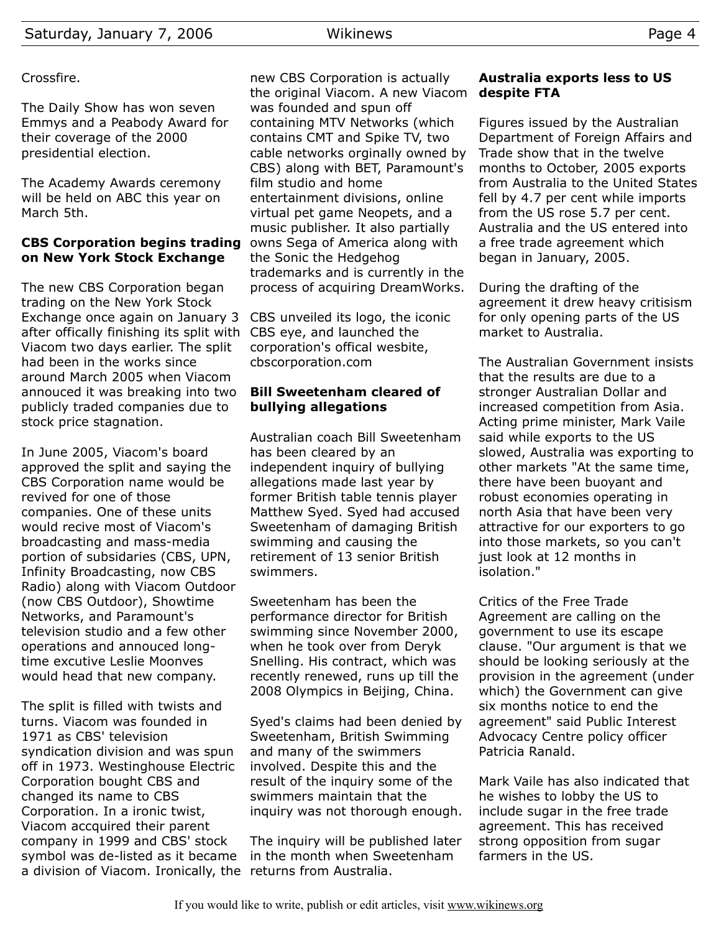## Crossfire.

The Daily Show has won seven Emmys and a Peabody Award for their coverage of the 2000 presidential election.

The Academy Awards ceremony will be held on ABC this year on March 5th.

#### **CBS Corporation begins trading on New York Stock Exchange**

The new CBS Corporation began trading on the New York Stock Exchange once again on January 3 after offically finishing its split with CBS eye, and launched the Viacom two days earlier. The split had been in the works since around March 2005 when Viacom annouced it was breaking into two publicly traded companies due to stock price stagnation.

In June 2005, Viacom's board approved the split and saying the CBS Corporation name would be revived for one of those companies. One of these units would recive most of Viacom's broadcasting and mass-media portion of subsidaries (CBS, UPN, Infinity Broadcasting, now CBS Radio) along with Viacom Outdoor (now CBS Outdoor), Showtime Networks, and Paramount's television studio and a few other operations and annouced longtime excutive Leslie Moonves would head that new company.

The split is filled with twists and turns. Viacom was founded in 1971 as CBS' television syndication division and was spun off in 1973. Westinghouse Electric Corporation bought CBS and changed its name to CBS Corporation. In a ironic twist, Viacom accquired their parent company in 1999 and CBS' stock symbol was de-listed as it became a division of Viacom. Ironically, the returns from Australia.

new CBS Corporation is actually the original Viacom. A new Viacom was founded and spun off containing MTV Networks (which contains CMT and Spike TV, two cable networks orginally owned by CBS) along with BET, Paramount's film studio and home entertainment divisions, online virtual pet game Neopets, and a music publisher. It also partially owns Sega of America along with the Sonic the Hedgehog trademarks and is currently in the process of acquiring DreamWorks.

CBS unveiled its logo, the iconic corporation's offical wesbite, cbscorporation.com

## **Bill Sweetenham cleared of bullying allegations**

Australian coach Bill Sweetenham has been cleared by an independent inquiry of bullying allegations made last year by former British table tennis player Matthew Syed. Syed had accused Sweetenham of damaging British swimming and causing the retirement of 13 senior British swimmers.

Sweetenham has been the performance director for British swimming since November 2000, when he took over from Deryk Snelling. His contract, which was recently renewed, runs up till the 2008 Olympics in Beijing, China.

Syed's claims had been denied by Sweetenham, British Swimming and many of the swimmers involved. Despite this and the result of the inquiry some of the swimmers maintain that the inquiry was not thorough enough.

The inquiry will be published later in the month when Sweetenham

## **Australia exports less to US despite FTA**

Figures issued by the Australian Department of Foreign Affairs and Trade show that in the twelve months to October, 2005 exports from Australia to the United States fell by 4.7 per cent while imports from the US rose 5.7 per cent. Australia and the US entered into a free trade agreement which began in January, 2005.

During the drafting of the agreement it drew heavy critisism for only opening parts of the US market to Australia.

The Australian Government insists that the results are due to a stronger Australian Dollar and increased competition from Asia. Acting prime minister, Mark Vaile said while exports to the US slowed, Australia was exporting to other markets "At the same time, there have been buoyant and robust economies operating in north Asia that have been very attractive for our exporters to go into those markets, so you can't just look at 12 months in isolation."

Critics of the Free Trade Agreement are calling on the government to use its escape clause. "Our argument is that we should be looking seriously at the provision in the agreement (under which) the Government can give six months notice to end the agreement" said Public Interest Advocacy Centre policy officer Patricia Ranald.

Mark Vaile has also indicated that he wishes to lobby the US to include sugar in the free trade agreement. This has received strong opposition from sugar farmers in the US.